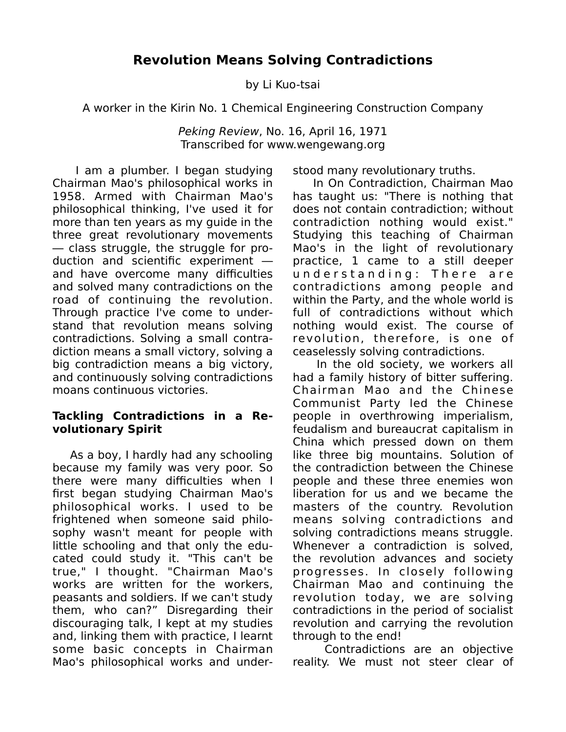by Li Kuo-tsai

A worker in the Kirin No. 1 Chemical Engineering Construction Company

*Peking Review*, No. 16, April 16, 1971 Transcribed for www.wengewang.org

 I am a plumber. I began studying Chairman Mao's philosophical works in 1958. Armed with Chairman Mao's philosophical thinking, I've used it for more than ten years as my guide in the three great revolutionary movements ― class struggle, the struggle for production and scientific experiment ― and have overcome many difficulties and solved many contradictions on the road of continuing the revolution. Through practice I've come to understand that revolution means solving contradictions. Solving a small contradiction means a small victory, solving a big contradiction means a big victory, and continuously solving contradictions moans continuous victories.

## **Tackling Contradictions in a Revolutionary Spirit**

 As a boy, I hardly had any schooling because my family was very poor. So there were many difficulties when I first began studying Chairman Mao's philosophical works. I used to be frightened when someone said philosophy wasn't meant for people with little schooling and that only the educated could study it. "This can't be true," I thought. "Chairman Mao's works are written for the workers, peasants and soldiers. If we can't study them, who can?" Disregarding their discouraging talk, I kept at my studies and, linking them with practice, I learnt some basic concepts in Chairman Mao's philosophical works and understood many revolutionary truths.

 In On Contradiction, Chairman Mao has taught us: "There is nothing that does not contain contradiction; without contradiction nothing would exist." Studying this teaching of Chairman Mao's in the light of revolutionary practice, 1 came to a still deeper und erst and ing: There are contradictions among people and within the Party, and the whole world is full of contradictions without which nothing would exist. The course of revolution, therefore, is one of ceaselessly solving contradictions.

 In the old society, we workers all had a family history of bitter suffering. Chairman Mao and the Chinese Communist Party led the Chinese people in overthrowing imperialism, feudalism and bureaucrat capitalism in China which pressed down on them like three big mountains. Solution of the contradiction between the Chinese people and these three enemies won liberation for us and we became the masters of the country. Revolution means solving contradictions and solving contradictions means struggle. Whenever a contradiction is solved, the revolution advances and society progresses. In closely following Chairman Mao and continuing the revolution today, we are solving contradictions in the period of socialist revolution and carrying the revolution through to the end!

 Contradictions are an objective reality. We must not steer clear of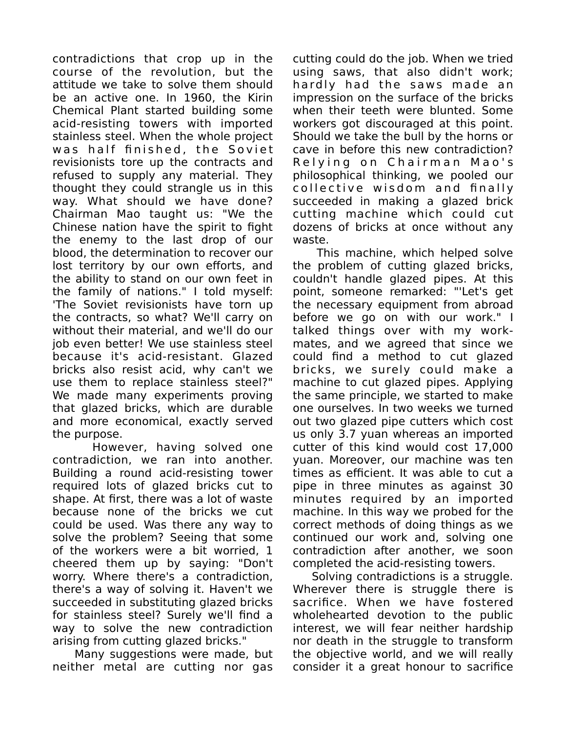contradictions that crop up in the course of the revolution, but the attitude we take to solve them should be an active one. In 1960, the Kirin Chemical Plant started building some acid-resisting towers with imported stainless steel. When the whole project was half finished, the Soviet revisionists tore up the contracts and refused to supply any material. They thought they could strangle us in this way. What should we have done? Chairman Mao taught us: "We the Chinese nation have the spirit to fight the enemy to the last drop of our blood, the determination to recover our lost territory by our own efforts, and the ability to stand on our own feet in the family of nations." I told myself: 'The Soviet revisionists have torn up the contracts, so what? We'll carry on without their material, and we'll do our job even better! We use stainless steel because it's acid-resistant. Glazed bricks also resist acid, why can't we use them to replace stainless steel?" We made many experiments proving that glazed bricks, which are durable and more economical, exactly served the purpose.

 However, having solved one contradiction, we ran into another. Building a round acid-resisting tower required lots of glazed bricks cut to shape. At first, there was a lot of waste because none of the bricks we cut could be used. Was there any way to solve the problem? Seeing that some of the workers were a bit worried, 1 cheered them up by saying: "Don't worry. Where there's a contradiction, there's a way of solving it. Haven't we succeeded in substituting glazed bricks for stainless steel? Surely we'll find a way to solve the new contradiction arising from cutting glazed bricks."

 Many suggestions were made, but neither metal are cutting nor gas cutting could do the job. When we tried using saws, that also didn't work; hardly had the saws made an impression on the surface of the bricks when their teeth were blunted. Some workers got discouraged at this point. Should we take the bull by the horns or cave in before this new contradiction? Relying on Chairman Mao's philosophical thinking, we pooled our collective wisdom and finally succeeded in making a glazed brick cutting machine which could cut dozens of bricks at once without any waste.

 This machine, which helped solve the problem of cutting glazed bricks, couldn't handle glazed pipes. At this point, someone remarked: "'Let's get the necessary equipment from abroad before we go on with our work." I talked things over with my workmates, and we agreed that since we could find a method to cut glazed bricks, we surely could make a machine to cut glazed pipes. Applying the same principle, we started to make one ourselves. In two weeks we turned out two glazed pipe cutters which cost us only 3.7 yuan whereas an imported cutter of this kind would cost 17,000 yuan. Moreover, our machine was ten times as efficient. It was able to cut a pipe in three minutes as against 30 minutes required by an imported machine. In this way we probed for the correct methods of doing things as we continued our work and, solving one contradiction after another, we soon completed the acid-resisting towers.

 Solving contradictions is a struggle. Wherever there is struggle there is sacrifice. When we have fostered wholehearted devotion to the public interest, we will fear neither hardship nor death in the struggle to transform the objective world, and we will really consider it a great honour to sacrifice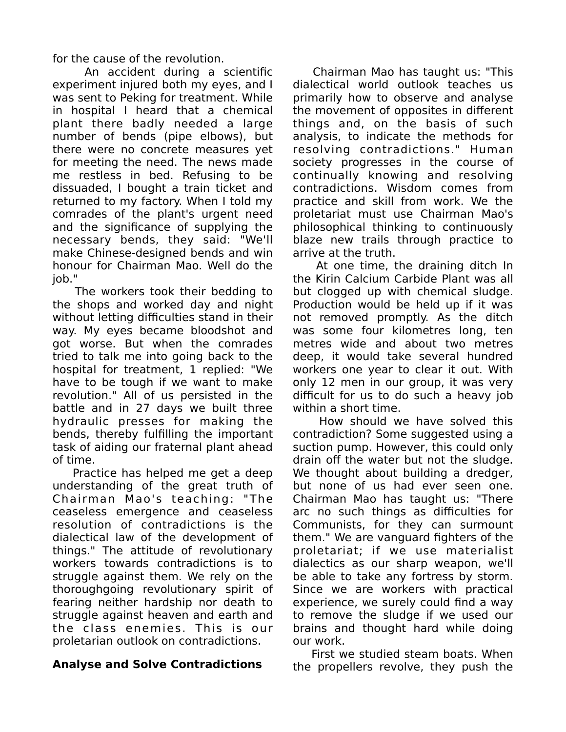for the cause of the revolution.

 An accident during a scientific experiment injured both my eyes, and I was sent to Peking for treatment. While in hospital I heard that a chemical plant there badly needed a large number of bends (pipe elbows), but there were no concrete measures yet for meeting the need. The news made me restless in bed. Refusing to be dissuaded, I bought a train ticket and returned to my factory. When I told my comrades of the plant's urgent need and the significance of supplying the necessary bends, they said: "We'll make Chinese-designed bends and win honour for Chairman Mao. Well do the iob."

 The workers took their bedding to the shops and worked day and night without letting difficulties stand in their way. My eyes became bloodshot and got worse. But when the comrades tried to talk me into going back to the hospital for treatment, 1 replied: "We have to be tough if we want to make revolution." All of us persisted in the battle and in 27 days we built three hydraulic presses for making the bends, thereby fulfilling the important task of aiding our fraternal plant ahead of time.

 Practice has helped me get a deep understanding of the great truth of Chairman Mao's teaching: "The ceaseless emergence and ceaseless resolution of contradictions is the dialectical law of the development of things." The attitude of revolutionary workers towards contradictions is to struggle against them. We rely on the thoroughgoing revolutionary spirit of fearing neither hardship nor death to struggle against heaven and earth and the class enemies. This is our proletarian outlook on contradictions.

## **Analyse and Solve Contradictions**

 Chairman Mao has taught us: "This dialectical world outlook teaches us primarily how to observe and analyse the movement of opposites in different things and, on the basis of such analysis, to indicate the methods for resolving contradictions." Human society progresses in the course of continually knowing and resolving contradictions. Wisdom comes from practice and skill from work. We the proletariat must use Chairman Mao's philosophical thinking to continuously blaze new trails through practice to arrive at the truth.

 At one time, the draining ditch In the Kirin Calcium Carbide Plant was all but clogged up with chemical sludge. Production would be held up if it was not removed promptly. As the ditch was some four kilometres long, ten metres wide and about two metres deep, it would take several hundred workers one year to clear it out. With only 12 men in our group, it was very difficult for us to do such a heavy job within a short time.

 How should we have solved this contradiction? Some suggested using a suction pump. However, this could only drain off the water but not the sludge. We thought about building a dredger, but none of us had ever seen one. Chairman Mao has taught us: "There arc no such things as difficulties for Communists, for they can surmount them." We are vanguard fighters of the proletariat; if we use materialist dialectics as our sharp weapon, we'll be able to take any fortress by storm. Since we are workers with practical experience, we surely could find a way to remove the sludge if we used our brains and thought hard while doing our work.

 First we studied steam boats. When the propellers revolve, they push the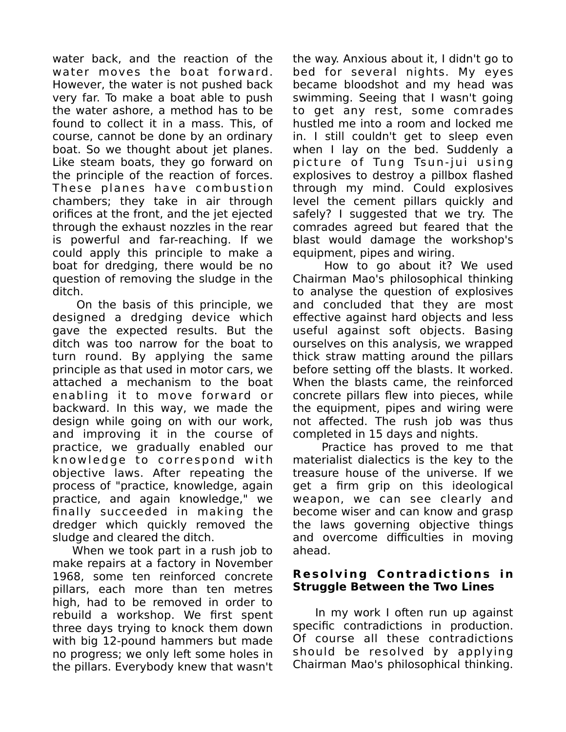water back, and the reaction of the water moves the boat forward. However, the water is not pushed back very far. To make a boat able to push the water ashore, a method has to be found to collect it in a mass. This, of course, cannot be done by an ordinary boat. So we thought about jet planes. Like steam boats, they go forward on the principle of the reaction of forces. These planes have combustion chambers; they take in air through orifices at the front, and the jet ejected through the exhaust nozzles in the rear is powerful and far-reaching. If we could apply this principle to make a boat for dredging, there would be no question of removing the sludge in the ditch.

 On the basis of this principle, we designed a dredging device which gave the expected results. But the ditch was too narrow for the boat to turn round. By applying the same principle as that used in motor cars, we attached a mechanism to the boat enabling it to move forward or backward. In this way, we made the design while going on with our work, and improving it in the course of practice, we gradually enabled our knowledge to correspond with objective laws. After repeating the process of "practice, knowledge, again practice, and again knowledge," we finally succeeded in making the dredger which quickly removed the sludge and cleared the ditch.

When we took part in a rush job to make repairs at a factory in November 1968, some ten reinforced concrete pillars, each more than ten metres high, had to be removed in order to rebuild a workshop. We first spent three days trying to knock them down with big 12-pound hammers but made no progress; we only left some holes in the pillars. Everybody knew that wasn't the way. Anxious about it, I didn't go to bed for several nights. My eyes became bloodshot and my head was swimming. Seeing that I wasn't going to get any rest, some comrades hustled me into a room and locked me in. I still couldn't get to sleep even when I lay on the bed. Suddenly a picture of Tung Tsun-jui using explosives to destroy a pillbox flashed through my mind. Could explosives level the cement pillars quickly and safely? I suggested that we try. The comrades agreed but feared that the blast would damage the workshop's equipment, pipes and wiring.

 How to go about it? We used Chairman Mao's philosophical thinking to analyse the question of explosives and concluded that they are most effective against hard objects and less useful against soft objects. Basing ourselves on this analysis, we wrapped thick straw matting around the pillars before setting off the blasts. It worked. When the blasts came, the reinforced concrete pillars flew into pieces, while the equipment, pipes and wiring were not affected. The rush job was thus completed in 15 days and nights.

 Practice has proved to me that materialist dialectics is the key to the treasure house of the universe. If we get a firm grip on this ideological weapon, we can see clearly and become wiser and can know and grasp the laws governing objective things and overcome difficulties in moving ahead.

## **Resolving Contradictions in Struggle Between the Two Lines**

 In my work I often run up against specific contradictions in production. Of course all these contradictions should be resolved by applying Chairman Mao's philosophical thinking.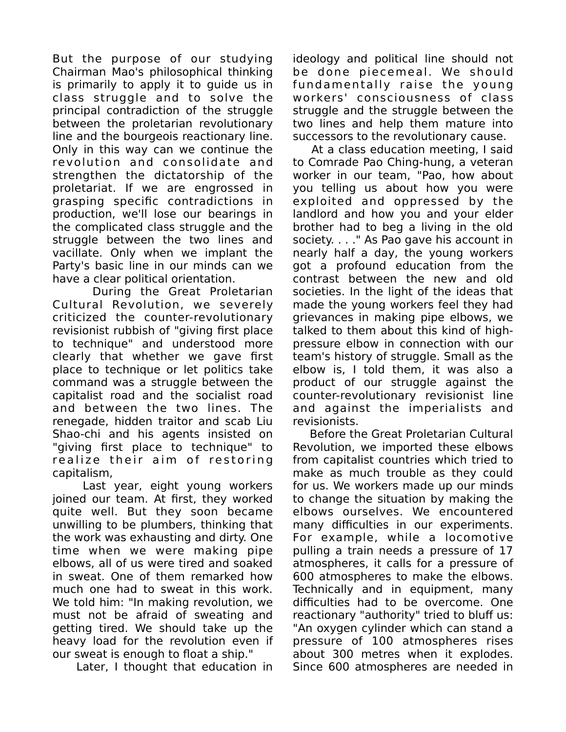But the purpose of our studying Chairman Mao's philosophical thinking is primarily to apply it to guide us in class struggle and to solve the principal contradiction of the struggle between the proletarian revolutionary line and the bourgeois reactionary line. Only in this way can we continue the revolution and consolidate and strengthen the dictatorship of the proletariat. If we are engrossed in grasping specific contradictions in production, we'll lose our bearings in the complicated class struggle and the struggle between the two lines and vacillate. Only when we implant the Party's basic line in our minds can we have a clear political orientation.

 During the Great Proletarian Cultural Revolution, we severely criticized the counter-revolutionary revisionist rubbish of "giving first place to technique" and understood more clearly that whether we gave first place to technique or let politics take command was a struggle between the capitalist road and the socialist road and between the two lines. The renegade, hidden traitor and scab Liu Shao-chi and his agents insisted on "giving first place to technique" to realize their aim of restoring capitalism,

 Last year, eight young workers joined our team. At first, they worked quite well. But they soon became unwilling to be plumbers, thinking that the work was exhausting and dirty. One time when we were making pipe elbows, all of us were tired and soaked in sweat. One of them remarked how much one had to sweat in this work. We told him: "In making revolution, we must not be afraid of sweating and getting tired. We should take up the heavy load for the revolution even if our sweat is enough to float a ship."

Later, I thought that education in

ideology and political line should not be done piecemeal. We should fundamentally raise the young workers' consciousness of class struggle and the struggle between the two lines and help them mature into successors to the revolutionary cause.

 At a class education meeting, I said to Comrade Pao Ching-hung, a veteran worker in our team, "Pao, how about you telling us about how you were exploited and oppressed by the landlord and how you and your elder brother had to beg a living in the old society. . . ." As Pao gave his account in nearly half a day, the young workers got a profound education from the contrast between the new and old societies. In the light of the ideas that made the young workers feel they had grievances in making pipe elbows, we talked to them about this kind of highpressure elbow in connection with our team's history of struggle. Small as the elbow is, I told them, it was also a product of our struggle against the counter-revolutionary revisionist line and against the imperialists and revisionists.

 Before the Great Proletarian Cultural Revolution, we imported these elbows from capitalist countries which tried to make as much trouble as they could for us. We workers made up our minds to change the situation by making the elbows ourselves. We encountered many difficulties in our experiments. For example, while a locomotive pulling a train needs a pressure of 17 atmospheres, it calls for a pressure of 600 atmospheres to make the elbows. Technically and in equipment, many difficulties had to be overcome. One reactionary "authority" tried to bluff us: "An oxygen cylinder which can stand a pressure of 100 atmospheres rises about 300 metres when it explodes. Since 600 atmospheres are needed in